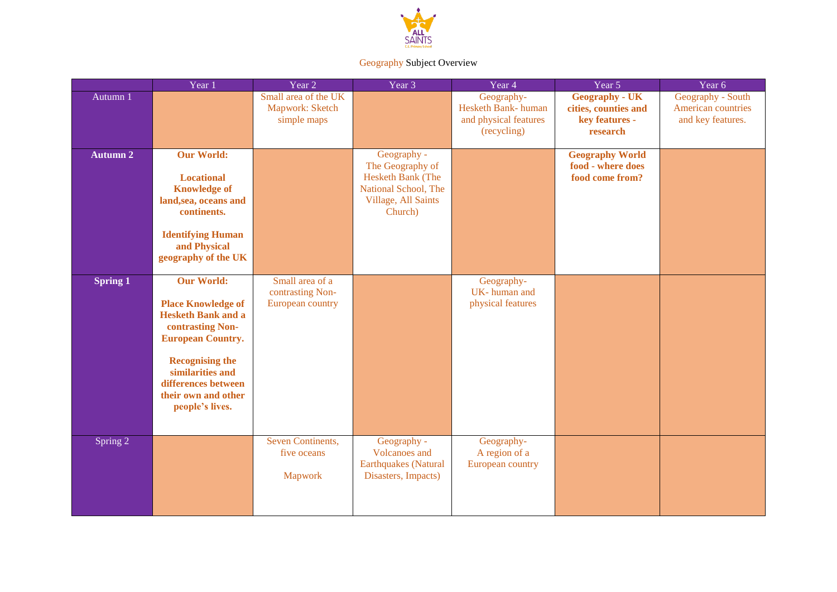

## Geography Subject Overview

|                 | Year 1                                                                                                                                                                                                                                     | Year $2$                                                | Year 3                                                                                                         | Year 4                                                                   | Year 5                                                                      | Year 6                                                       |
|-----------------|--------------------------------------------------------------------------------------------------------------------------------------------------------------------------------------------------------------------------------------------|---------------------------------------------------------|----------------------------------------------------------------------------------------------------------------|--------------------------------------------------------------------------|-----------------------------------------------------------------------------|--------------------------------------------------------------|
| Autumn 1        |                                                                                                                                                                                                                                            | Small area of the UK<br>Mapwork: Sketch<br>simple maps  |                                                                                                                | Geography-<br>Hesketh Bank-human<br>and physical features<br>(recycling) | <b>Geography - UK</b><br>cities, counties and<br>key features -<br>research | Geography - South<br>American countries<br>and key features. |
| <b>Autumn 2</b> | <b>Our World:</b><br><b>Locational</b><br><b>Knowledge of</b><br>land, sea, oceans and<br>continents.<br><b>Identifying Human</b><br>and Physical<br>geography of the UK                                                                   |                                                         | Geography -<br>The Geography of<br>Hesketh Bank (The<br>National School, The<br>Village, All Saints<br>Church) |                                                                          | <b>Geography World</b><br>food - where does<br>food come from?              |                                                              |
| Spring 1        | <b>Our World:</b><br><b>Place Knowledge of</b><br><b>Hesketh Bank and a</b><br>contrasting Non-<br><b>European Country.</b><br><b>Recognising the</b><br>similarities and<br>differences between<br>their own and other<br>people's lives. | Small area of a<br>contrasting Non-<br>European country |                                                                                                                | Geography-<br>UK-human and<br>physical features                          |                                                                             |                                                              |
| Spring 2        |                                                                                                                                                                                                                                            | Seven Continents,<br>five oceans<br>Mapwork             | Geography -<br>Volcanoes and<br><b>Earthquakes</b> (Natural<br>Disasters, Impacts)                             | Geography-<br>A region of a<br>European country                          |                                                                             |                                                              |